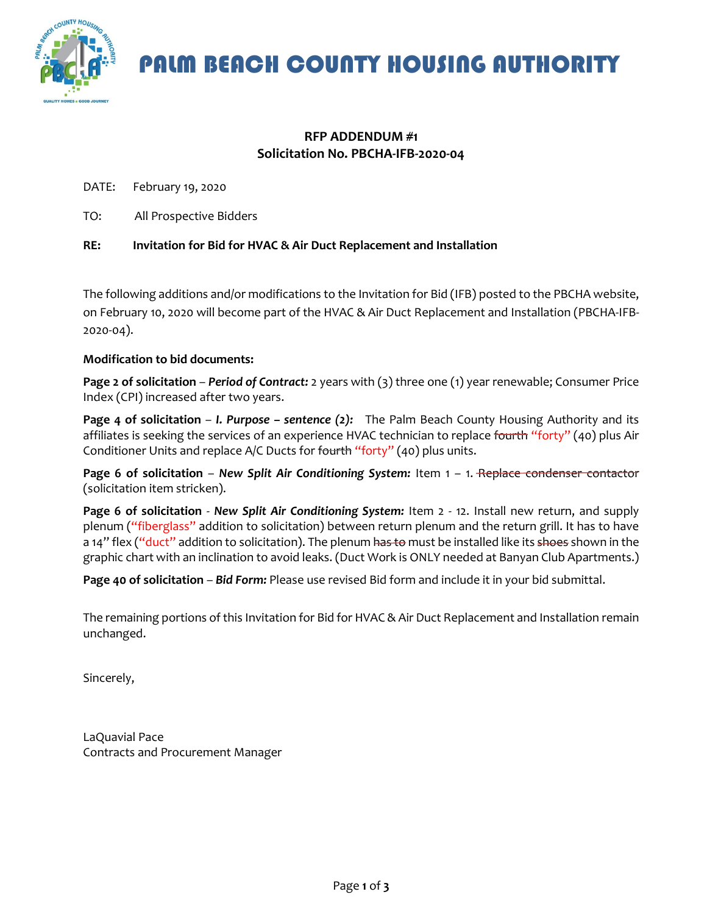

PALM BEACH COUNTY HOUSING AUTHORITY

#### **RFP ADDENDUM #1 Solicitation No. PBCHA-IFB-2020-04**

DATE: February 19, 2020

TO: All Prospective Bidders

**RE: Invitation for Bid for HVAC & Air Duct Replacement and Installation** 

The following additions and/or modifications to the Invitation for Bid (IFB) posted to the PBCHA website, on February 10, 2020 will become part of the HVAC & Air Duct Replacement and Installation (PBCHA-IFB-2020-04).

#### **Modification to bid documents:**

**Page 2 of solicitation** – *Period of Contract:* 2 years with (3) three one (1) year renewable; Consumer Price Index (CPI) increased after two years.

**Page 4 of solicitation** – *I. Purpose – sentence (2):* The Palm Beach County Housing Authority and its affiliates is seeking the services of an experience HVAC technician to replace fourth "forty" (40) plus Air Conditioner Units and replace A/C Ducts for fourth "forty" (40) plus units.

**Page 6 of solicitation** – *New Split Air Conditioning System:* Item 1 – 1. Replace condenser contactor (solicitation item stricken).

**Page 6 of solicitation** - *New Split Air Conditioning System:* Item 2 - 12. Install new return, and supply plenum ("fiberglass" addition to solicitation) between return plenum and the return grill. It has to have a 14" flex ("duct" addition to solicitation). The plenum has to must be installed like its shoes shown in the graphic chart with an inclination to avoid leaks. (Duct Work is ONLY needed at Banyan Club Apartments.)

**Page 40 of solicitation** – *Bid Form:* Please use revised Bid form and include it in your bid submittal.

The remaining portions of this Invitation for Bid for HVAC & Air Duct Replacement and Installation remain unchanged.

Sincerely,

LaQuavial Pace Contracts and Procurement Manager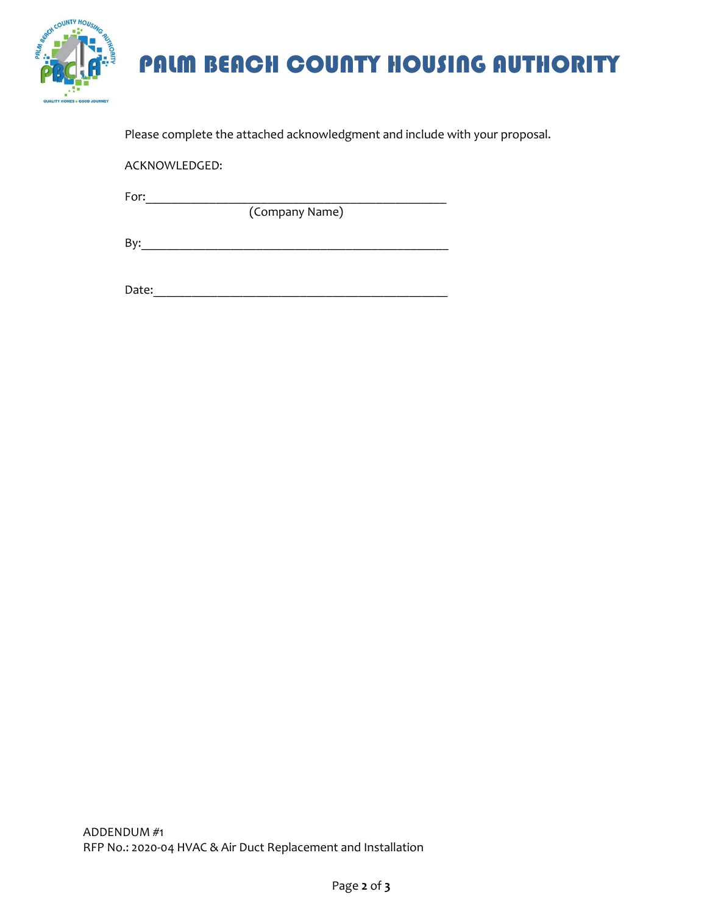

# PALM BEACH COUNTY HOUSING AUTHORITY

Please complete the attached acknowledgment and include with your proposal.

ACKNOWLEDGED:

For:\_\_\_\_\_\_\_\_\_\_\_\_\_\_\_\_\_\_\_\_\_\_\_\_\_\_\_\_\_\_\_\_\_\_\_\_\_\_\_\_\_\_\_\_\_\_\_

(Company Name)

By:\_\_\_\_\_\_\_\_\_\_\_\_\_\_\_\_\_\_\_\_\_\_\_\_\_\_\_\_\_\_\_\_\_\_\_\_\_\_\_\_\_\_\_\_\_\_\_\_

Date:\_\_\_\_\_\_\_\_\_\_\_\_\_\_\_\_\_\_\_\_\_\_\_\_\_\_\_\_\_\_\_\_\_\_\_\_\_\_\_\_\_\_\_\_\_\_